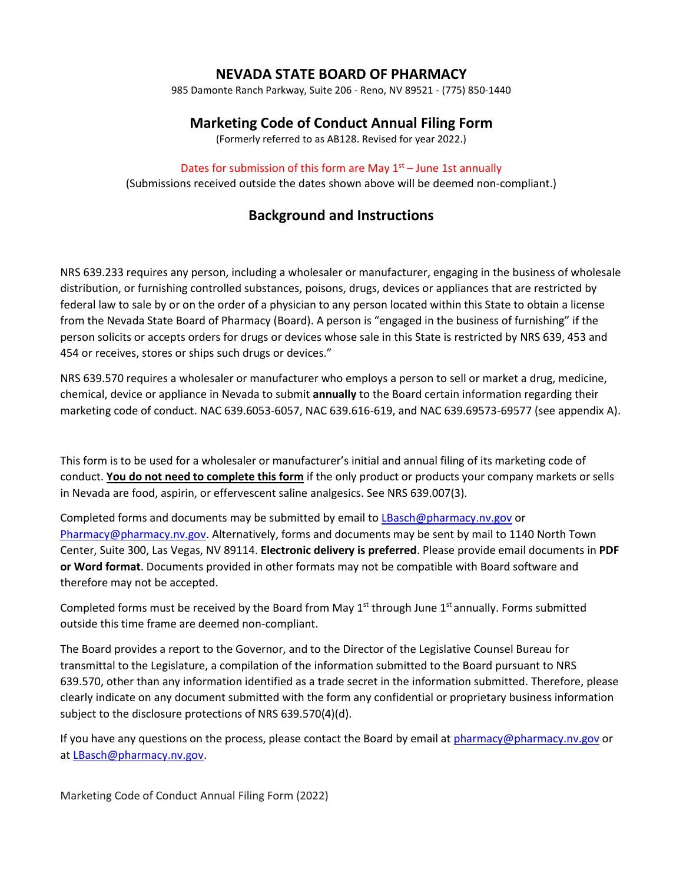# **NEVADA STATE BOARD OF PHARMACY**

985 Damonte Ranch Parkway, Suite 206 - Reno, NV 89521 - (775) 850-1440

# **Marketing Code of Conduct Annual Filing Form**

(Formerly referred to as AB128. Revised for year 2022.)

## Dates for submission of this form are May  $1<sup>st</sup>$  – June 1st annually

(Submissions received outside the dates shown above will be deemed non-compliant.)

# **Background and Instructions**

NRS 639.233 requires any person, including a wholesaler or manufacturer, engaging in the business of wholesale distribution, or furnishing controlled substances, poisons, drugs, devices or appliances that are restricted by federal law to sale by or on the order of a physician to any person located within this State to obtain a license from the Nevada State Board of Pharmacy (Board). A person is "engaged in the business of furnishing" if the person solicits or accepts orders for drugs or devices whose sale in this State is restricted by NRS 639, 453 and 454 or receives, stores or ships such drugs or devices."

NRS 639.570 requires a wholesaler or manufacturer who employs a person to sell or market a drug, medicine, chemical, device or appliance in Nevada to submit **annually** to the Board certain information regarding their marketing code of conduct. NAC 639.6053-6057, NAC 639.616-619, and NAC 639.69573-69577 (see appendix A).

This form is to be used for a wholesaler or manufacturer's initial and annual filing of its marketing code of conduct. **You do not need to complete this form** if the only product or products your company markets or sells in Nevada are food, aspirin, or effervescent saline analgesics. See NRS 639.007(3).

Completed forms and documents may be submitted by email to [LBasch@pharmacy.nv.gov](mailto:LBasch@pharmacy.nv.gov) or [Pharmacy@pharmacy.nv.gov.](mailto:Pharmacy@pharmacy.nv.gov) Alternatively, forms and documents may be sent by mail to 1140 North Town Center, Suite 300, Las Vegas, NV 89114. **Electronic delivery is preferred**. Please provide email documents in **PDF or Word format**. Documents provided in other formats may not be compatible with Board software and therefore may not be accepted.

Completed forms must be received by the Board from May  $1<sup>st</sup>$  through June  $1<sup>st</sup>$  annually. Forms submitted outside this time frame are deemed non-compliant.

The Board provides a report to the Governor, and to the Director of the Legislative Counsel Bureau for transmittal to the Legislature, a compilation of the information submitted to the Board pursuant to NRS 639.570, other than any information identified as a trade secret in the information submitted. Therefore, please clearly indicate on any document submitted with the form any confidential or proprietary business information subject to the disclosure protections of NRS 639.570(4)(d).

If you have any questions on the process, please contact the Board by email a[t pharmacy@pharmacy.nv.gov](mailto:pharmacy@pharmacy.nv.gov) or a[t LBasch@pharmacy.nv.gov.](mailto:lbasch@pharmacy.nv.gov)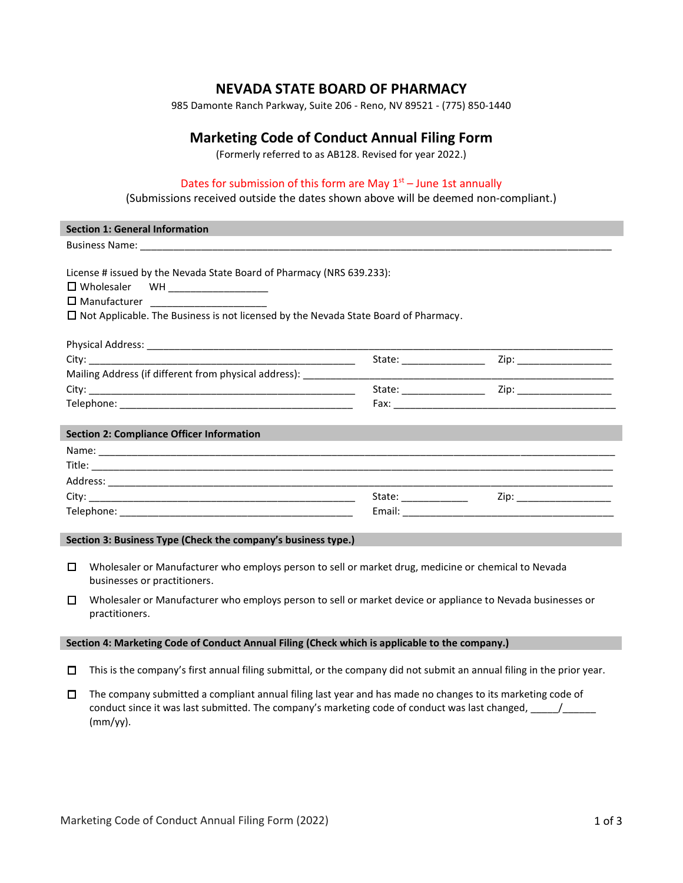## **NEVADA STATE BOARD OF PHARMACY**

985 Damonte Ranch Parkway, Suite 206 - Reno, NV 89521 - (775) 850-1440

## **Marketing Code of Conduct Annual Filing Form**

(Formerly referred to as AB128. Revised for year 2022.)

## Dates for submission of this form are May  $1<sup>st</sup>$  – June 1st annually

## (Submissions received outside the dates shown above will be deemed non-compliant.)

| <b>Section 1: General Information</b>                                                                                                                                                                                                               |  |  |  |  |  |
|-----------------------------------------------------------------------------------------------------------------------------------------------------------------------------------------------------------------------------------------------------|--|--|--|--|--|
|                                                                                                                                                                                                                                                     |  |  |  |  |  |
| License # issued by the Nevada State Board of Pharmacy (NRS 639.233):<br>□ Wholesaler WH __________________<br>□ Manufacturer _______________________<br>$\Box$ Not Applicable. The Business is not licensed by the Nevada State Board of Pharmacy. |  |  |  |  |  |
|                                                                                                                                                                                                                                                     |  |  |  |  |  |
|                                                                                                                                                                                                                                                     |  |  |  |  |  |
| Mailing Address (if different from physical address): ____________                                                                                                                                                                                  |  |  |  |  |  |
|                                                                                                                                                                                                                                                     |  |  |  |  |  |
|                                                                                                                                                                                                                                                     |  |  |  |  |  |
| <b>Section 2: Compliance Officer Information</b>                                                                                                                                                                                                    |  |  |  |  |  |
|                                                                                                                                                                                                                                                     |  |  |  |  |  |
|                                                                                                                                                                                                                                                     |  |  |  |  |  |
|                                                                                                                                                                                                                                                     |  |  |  |  |  |
|                                                                                                                                                                                                                                                     |  |  |  |  |  |
|                                                                                                                                                                                                                                                     |  |  |  |  |  |
| Section 3: Business Type (Check the company's business type.)                                                                                                                                                                                       |  |  |  |  |  |
| $\Box$<br>Wholesaler or Manufacturer who employs person to sell or market drug, medicine or chemical to Nevada<br>businesses or practitioners.                                                                                                      |  |  |  |  |  |

☐ Wholesaler or Manufacturer who employs person to sell or market device or appliance to Nevada businesses or practitioners.

#### **Section 4: Marketing Code of Conduct Annual Filing (Check which is applicable to the company.)**

- $\Box$  This is the company's first annual filing submittal, or the company did not submit an annual filing in the prior year.
- $\Box$  The company submitted a compliant annual filing last year and has made no changes to its marketing code of conduct since it was last submitted. The company's marketing code of conduct was last changed,  $\frac{1}{\sqrt{2\pi}}$ (mm/yy).

l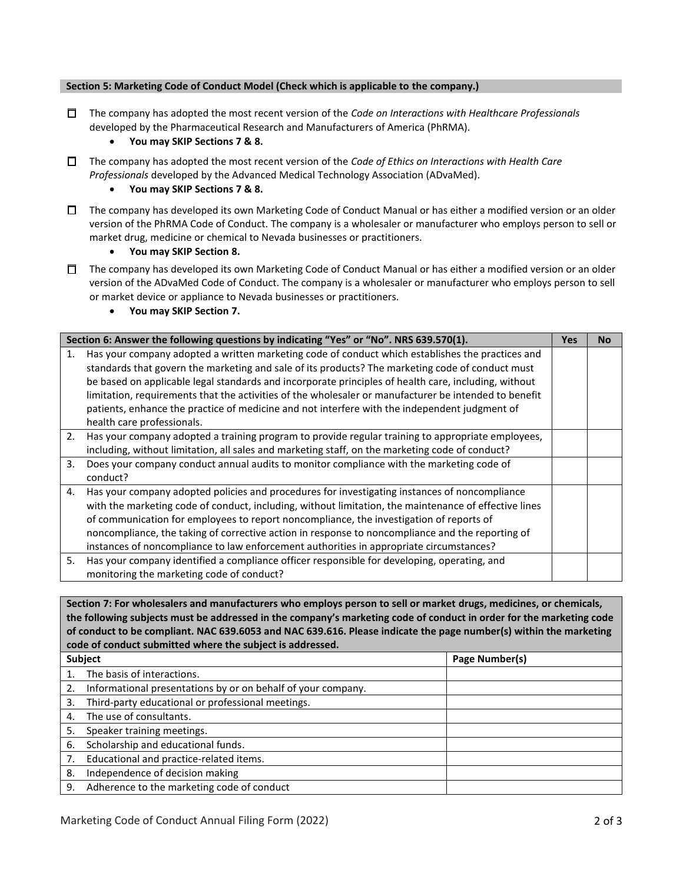#### **Section 5: Marketing Code of Conduct Model (Check which is applicable to the company.)**

☐ The company has adopted the most recent version of the *Code on Interactions with Healthcare Professionals* developed by the Pharmaceutical Research and Manufacturers of America (PhRMA).

## • **You may SKIP Sections 7 & 8.**

☐ The company has adopted the most recent version of the *Code of Ethics on Interactions with Health Care Professionals* developed by the Advanced Medical Technology Association (ADvaMed).

#### • **You may SKIP Sections 7 & 8.**

 $□$  The company has developed its own Marketing Code of Conduct Manual or has either a modified version or an older version of the PhRMA Code of Conduct. The company is a wholesaler or manufacturer who employs person to sell or market drug, medicine or chemical to Nevada businesses or practitioners.

• **You may SKIP Section 8.**

☐ The company has developed its own Marketing Code of Conduct Manual or has either a modified version or an older version of the ADvaMed Code of Conduct. The company is a wholesaler or manufacturer who employs person to sell or market device or appliance to Nevada businesses or practitioners.

• **You may SKIP Section 7.**

| Section 6: Answer the following questions by indicating "Yes" or "No". NRS 639.570(1). |                                                                                                                                                                                                                                                                                                                                                                                                                                                                                                                                                      |  | No. |
|----------------------------------------------------------------------------------------|------------------------------------------------------------------------------------------------------------------------------------------------------------------------------------------------------------------------------------------------------------------------------------------------------------------------------------------------------------------------------------------------------------------------------------------------------------------------------------------------------------------------------------------------------|--|-----|
| 1.                                                                                     | Has your company adopted a written marketing code of conduct which establishes the practices and<br>standards that govern the marketing and sale of its products? The marketing code of conduct must<br>be based on applicable legal standards and incorporate principles of health care, including, without<br>limitation, requirements that the activities of the wholesaler or manufacturer be intended to benefit<br>patients, enhance the practice of medicine and not interfere with the independent judgment of<br>health care professionals. |  |     |
| 2.                                                                                     | Has your company adopted a training program to provide regular training to appropriate employees,<br>including, without limitation, all sales and marketing staff, on the marketing code of conduct?                                                                                                                                                                                                                                                                                                                                                 |  |     |
| 3.                                                                                     | Does your company conduct annual audits to monitor compliance with the marketing code of<br>conduct?                                                                                                                                                                                                                                                                                                                                                                                                                                                 |  |     |
| 4.                                                                                     | Has your company adopted policies and procedures for investigating instances of noncompliance<br>with the marketing code of conduct, including, without limitation, the maintenance of effective lines<br>of communication for employees to report noncompliance, the investigation of reports of<br>noncompliance, the taking of corrective action in response to noncompliance and the reporting of<br>instances of noncompliance to law enforcement authorities in appropriate circumstances?                                                     |  |     |
| 5.                                                                                     | Has your company identified a compliance officer responsible for developing, operating, and<br>monitoring the marketing code of conduct?                                                                                                                                                                                                                                                                                                                                                                                                             |  |     |

**Section 7: For wholesalers and manufacturers who employs person to sell or market drugs, medicines, or chemicals, the following subjects must be addressed in the company's marketing code of conduct in order for the marketing code of conduct to be compliant. NAC 639.6053 and NAC 639.616. Please indicate the page number(s) within the marketing code of conduct submitted where the subject is addressed.**

| <b>Subject</b> |                                                              | Page Number(s) |
|----------------|--------------------------------------------------------------|----------------|
|                | The basis of interactions.                                   |                |
|                | Informational presentations by or on behalf of your company. |                |
| 3.             | Third-party educational or professional meetings.            |                |
| 4.             | The use of consultants.                                      |                |
| 5.             | Speaker training meetings.                                   |                |
| 6.             | Scholarship and educational funds.                           |                |
|                | Educational and practice-related items.                      |                |
| 8.             | Independence of decision making                              |                |
| 9.             | Adherence to the marketing code of conduct                   |                |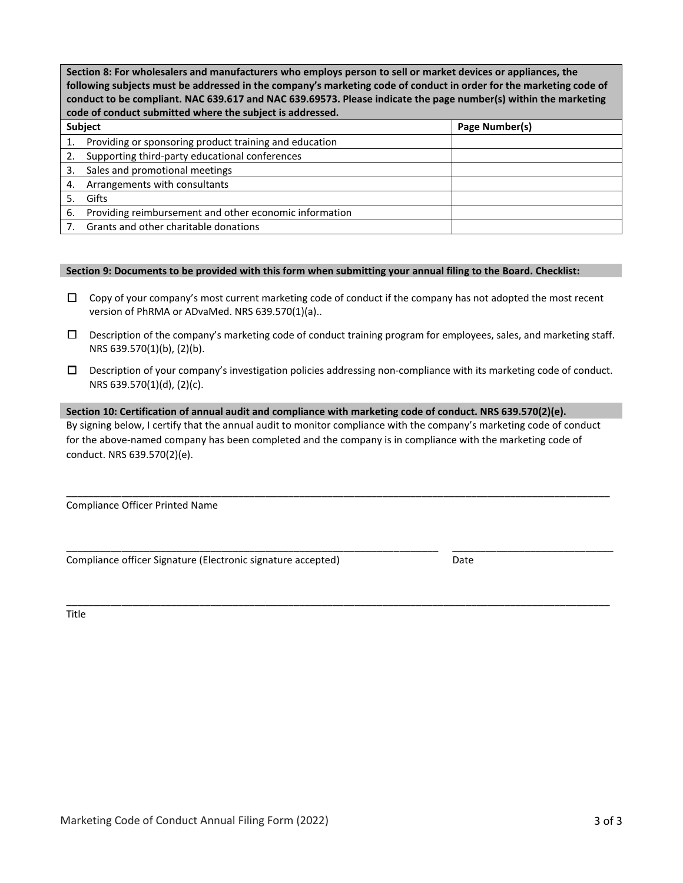| Section 8: For wholesalers and manufacturers who employs person to sell or market devices or appliances, the<br>following subjects must be addressed in the company's marketing code of conduct in order for the marketing code of<br>conduct to be compliant. NAC 639.617 and NAC 639.69573. Please indicate the page number(s) within the marketing<br>code of conduct submitted where the subject is addressed. |                                                        |                |  |
|--------------------------------------------------------------------------------------------------------------------------------------------------------------------------------------------------------------------------------------------------------------------------------------------------------------------------------------------------------------------------------------------------------------------|--------------------------------------------------------|----------------|--|
|                                                                                                                                                                                                                                                                                                                                                                                                                    | Subject                                                | Page Number(s) |  |
| 1.                                                                                                                                                                                                                                                                                                                                                                                                                 | Providing or sponsoring product training and education |                |  |
|                                                                                                                                                                                                                                                                                                                                                                                                                    | Supporting third-party educational conferences         |                |  |
| 3.                                                                                                                                                                                                                                                                                                                                                                                                                 | Sales and promotional meetings                         |                |  |
| 4.                                                                                                                                                                                                                                                                                                                                                                                                                 | Arrangements with consultants                          |                |  |
| 5.                                                                                                                                                                                                                                                                                                                                                                                                                 | Gifts                                                  |                |  |
| 6.                                                                                                                                                                                                                                                                                                                                                                                                                 | Providing reimbursement and other economic information |                |  |
|                                                                                                                                                                                                                                                                                                                                                                                                                    | Grants and other charitable donations                  |                |  |

#### **Section 9: Documents to be provided with this form when submitting your annual filing to the Board. Checklist:**

- $\Box$  Copy of your company's most current marketing code of conduct if the company has not adopted the most recent version of PhRMA or ADvaMed. NRS 639.570(1)(a)..
- $\Box$  Description of the company's marketing code of conduct training program for employees, sales, and marketing staff. NRS 639.570(1)(b), (2)(b).
- ☐ Description of your company's investigation policies addressing non-compliance with its marketing code of conduct. NRS 639.570(1)(d), (2)(c).

## **Section 10: Certification of annual audit and compliance with marketing code of conduct. NRS 639.570(2)(e).** By signing below, I certify that the annual audit to monitor compliance with the company's marketing code of conduct for the above-named company has been completed and the company is in compliance with the marketing code of conduct. NRS 639.570(2)(e).

\_\_\_\_\_\_\_\_\_\_\_\_\_\_\_\_\_\_\_\_\_\_\_\_\_\_\_\_\_\_\_\_\_\_\_\_\_\_\_\_\_\_\_\_\_\_\_\_\_\_\_\_\_\_\_\_\_\_\_\_\_\_\_\_\_\_\_\_\_\_\_\_\_\_\_\_\_\_\_\_\_\_\_\_\_\_\_\_\_\_\_\_\_\_\_\_\_\_

\_\_\_\_\_\_\_\_\_\_\_\_\_\_\_\_\_\_\_\_\_\_\_\_\_\_\_\_\_\_\_\_\_\_\_\_\_\_\_\_\_\_\_\_\_\_\_\_\_\_\_\_\_\_\_\_\_\_\_\_\_\_\_\_\_\_\_\_\_\_\_\_\_\_\_\_\_\_\_\_\_\_\_\_\_\_\_\_\_\_\_\_\_\_\_\_\_\_

Compliance Officer Printed Name

Compliance officer Signature (Electronic signature accepted) Date

\_\_\_\_\_\_\_\_\_\_\_\_\_\_\_\_\_\_\_\_\_\_\_\_\_\_\_\_\_\_\_\_\_\_\_\_\_\_\_\_\_\_\_\_\_\_\_\_\_\_\_\_\_\_\_\_\_\_\_\_\_\_\_\_\_\_\_ \_\_\_\_\_\_\_\_\_\_\_\_\_\_\_\_\_\_\_\_\_\_\_\_\_\_\_\_\_

Title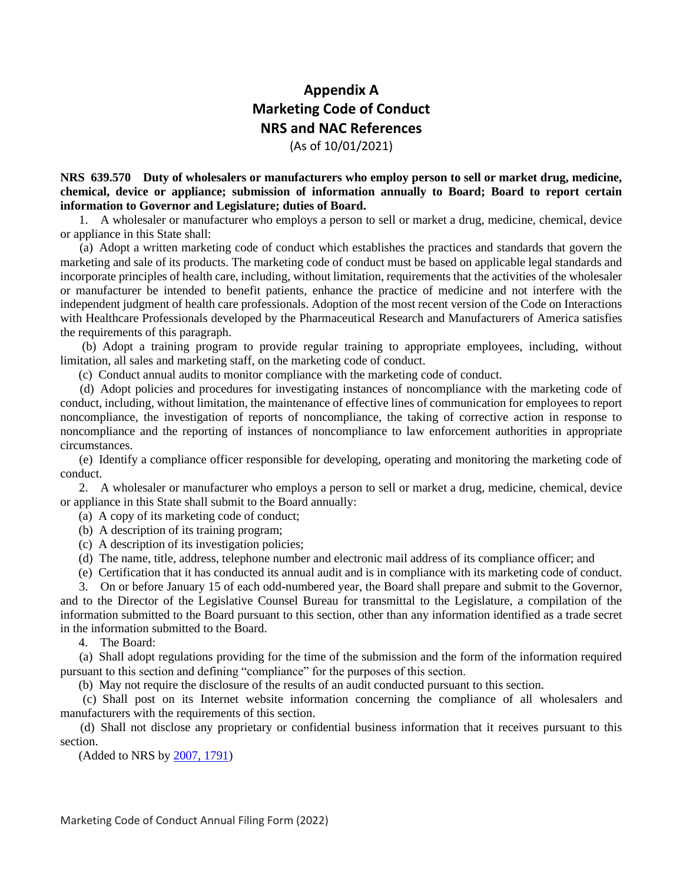# **Appendix A Marketing Code of Conduct NRS and NAC References**

(As of 10/01/2021)

**NRS 639.570 Duty of wholesalers or manufacturers who employ person to sell or market drug, medicine, chemical, device or appliance; submission of information annually to Board; Board to report certain information to Governor and Legislature; duties of Board.**

 1. A wholesaler or manufacturer who employs a person to sell or market a drug, medicine, chemical, device or appliance in this State shall:

 (a) Adopt a written marketing code of conduct which establishes the practices and standards that govern the marketing and sale of its products. The marketing code of conduct must be based on applicable legal standards and incorporate principles of health care, including, without limitation, requirements that the activities of the wholesaler or manufacturer be intended to benefit patients, enhance the practice of medicine and not interfere with the independent judgment of health care professionals. Adoption of the most recent version of the Code on Interactions with Healthcare Professionals developed by the Pharmaceutical Research and Manufacturers of America satisfies the requirements of this paragraph.

 (b) Adopt a training program to provide regular training to appropriate employees, including, without limitation, all sales and marketing staff, on the marketing code of conduct.

(c) Conduct annual audits to monitor compliance with the marketing code of conduct.

 (d) Adopt policies and procedures for investigating instances of noncompliance with the marketing code of conduct, including, without limitation, the maintenance of effective lines of communication for employees to report noncompliance, the investigation of reports of noncompliance, the taking of corrective action in response to noncompliance and the reporting of instances of noncompliance to law enforcement authorities in appropriate circumstances.

 (e) Identify a compliance officer responsible for developing, operating and monitoring the marketing code of conduct.

 2. A wholesaler or manufacturer who employs a person to sell or market a drug, medicine, chemical, device or appliance in this State shall submit to the Board annually:

(a) A copy of its marketing code of conduct;

- (b) A description of its training program;
- (c) A description of its investigation policies;
- (d) The name, title, address, telephone number and electronic mail address of its compliance officer; and

(e) Certification that it has conducted its annual audit and is in compliance with its marketing code of conduct.

 3. On or before January 15 of each odd-numbered year, the Board shall prepare and submit to the Governor, and to the Director of the Legislative Counsel Bureau for transmittal to the Legislature, a compilation of the information submitted to the Board pursuant to this section, other than any information identified as a trade secret in the information submitted to the Board.

4. The Board:

 (a) Shall adopt regulations providing for the time of the submission and the form of the information required pursuant to this section and defining "compliance" for the purposes of this section.

(b) May not require the disclosure of the results of an audit conducted pursuant to this section.

 (c) Shall post on its Internet website information concerning the compliance of all wholesalers and manufacturers with the requirements of this section.

 (d) Shall not disclose any proprietary or confidential business information that it receives pursuant to this section.

(Added to NRS by [2007, 1791\)](https://www.leg.state.nv.us/Statutes/74th/Stats200715.html#Stats200715page1791)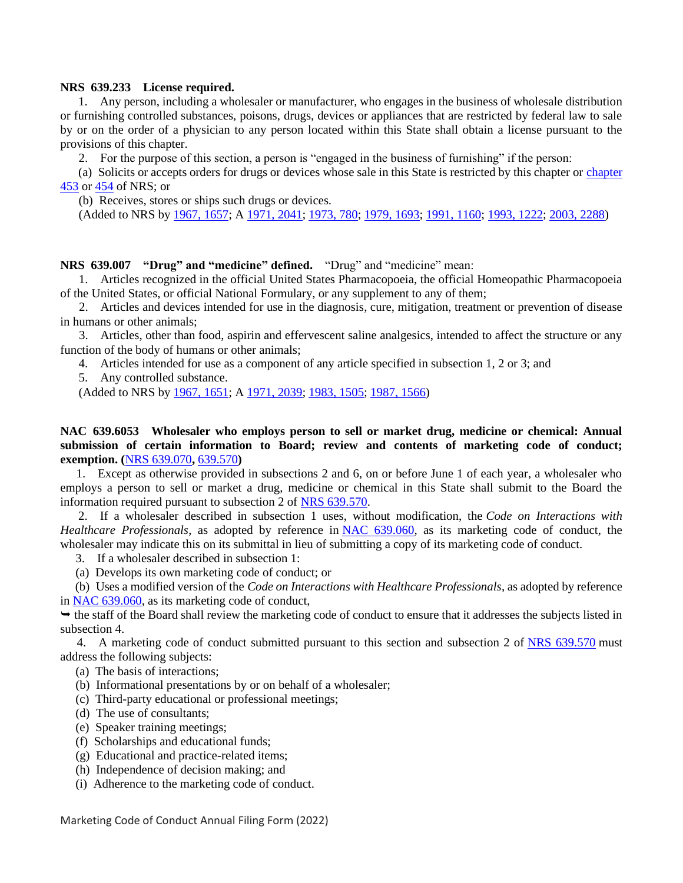## **NRS 639.233 License required.**

 1. Any person, including a wholesaler or manufacturer, who engages in the business of wholesale distribution or furnishing controlled substances, poisons, drugs, devices or appliances that are restricted by federal law to sale by or on the order of a physician to any person located within this State shall obtain a license pursuant to the provisions of this chapter.

2. For the purpose of this section, a person is "engaged in the business of furnishing" if the person:

 (a) Solicits or accepts orders for drugs or devices whose sale in this State is restricted by this chapter or [chapter](https://www.leg.state.nv.us/NRS/NRS-453.html#NRS453)  [453](https://www.leg.state.nv.us/NRS/NRS-453.html#NRS453) or [454](https://www.leg.state.nv.us/NRS/NRS-454.html#NRS454) of NRS; or

(b) Receives, stores or ships such drugs or devices.

(Added to NRS by [1967, 1657;](https://www.leg.state.nv.us/Statutes/54th/Stats196709.html#Stats196709page1657) A [1971, 2041;](https://www.leg.state.nv.us/Statutes/56th/Stats197110.html#Stats197110page2041) [1973, 780;](https://www.leg.state.nv.us/Statutes/57th/Stats197304.html#Stats197304page780) [1979, 1693;](https://www.leg.state.nv.us/Statutes/60th/Stats197909.html#Stats197909page1693) [1991, 1160;](https://www.leg.state.nv.us/Statutes/66th/Stats199106.html#Stats199106page1160) [1993, 1222;](https://www.leg.state.nv.us/Statutes/67th/Stats199306.html#Stats199306page1222) [2003, 2288\)](https://www.leg.state.nv.us/Statutes/72nd/Stats200318.html#Stats200318page2288)

**NRS 639.007 "Drug" and "medicine" defined.** "Drug" and "medicine" mean:

 1. Articles recognized in the official United States Pharmacopoeia, the official Homeopathic Pharmacopoeia of the United States, or official National Formulary, or any supplement to any of them;

 2. Articles and devices intended for use in the diagnosis, cure, mitigation, treatment or prevention of disease in humans or other animals;

 3. Articles, other than food, aspirin and effervescent saline analgesics, intended to affect the structure or any function of the body of humans or other animals;

4. Articles intended for use as a component of any article specified in subsection 1, 2 or 3; and

5. Any controlled substance.

(Added to NRS by [1967, 1651;](https://www.leg.state.nv.us/Statutes/54th/Stats196709.html#Stats196709page1651) A [1971, 2039;](https://www.leg.state.nv.us/Statutes/56th/Stats197110.html#Stats197110page2039) [1983, 1505;](https://www.leg.state.nv.us/Statutes/62nd/Stats198307.html#Stats198307page1505) [1987, 1566\)](https://www.leg.state.nv.us/Statutes/64th/Stats198707.html#Stats198707page1566)

**NAC 639.6053 Wholesaler who employs person to sell or market drug, medicine or chemical: Annual submission of certain information to Board; review and contents of marketing code of conduct; exemption. (**[NRS 639.070](https://www.leg.state.nv.us/NRS/NRS-639.html#NRS639Sec070)**,** [639.570](https://www.leg.state.nv.us/NRS/NRS-639.html#NRS639Sec570)**)**

 1. Except as otherwise provided in subsections 2 and 6, on or before June 1 of each year, a wholesaler who employs a person to sell or market a drug, medicine or chemical in this State shall submit to the Board the information required pursuant to subsection 2 of [NRS 639.570.](https://www.leg.state.nv.us/NRS/NRS-639.html#NRS639Sec570)

 2. If a wholesaler described in subsection 1 uses, without modification, the *Code on Interactions with Healthcare Professionals*, as adopted by reference in [NAC 639.060,](https://www.leg.state.nv.us/NAC/NAC-639.html#NAC639Sec060) as its marketing code of conduct, the wholesaler may indicate this on its submittal in lieu of submitting a copy of its marketing code of conduct.

3. If a wholesaler described in subsection 1:

(a) Develops its own marketing code of conduct; or

 (b) Uses a modified version of the *Code on Interactions with Healthcare Professionals*, as adopted by reference in [NAC 639.060,](https://www.leg.state.nv.us/NAC/NAC-639.html#NAC639Sec060) as its marketing code of conduct,

 $\rightarrow$  the staff of the Board shall review the marketing code of conduct to ensure that it addresses the subjects listed in subsection 4.

4. A marketing code of conduct submitted pursuant to this section and subsection 2 of [NRS 639.570](https://www.leg.state.nv.us/NRS/NRS-639.html#NRS639Sec570) must address the following subjects:

- (a) The basis of interactions;
- (b) Informational presentations by or on behalf of a wholesaler;
- (c) Third-party educational or professional meetings;
- (d) The use of consultants;
- (e) Speaker training meetings;
- (f) Scholarships and educational funds;
- (g) Educational and practice-related items;
- (h) Independence of decision making; and
- (i) Adherence to the marketing code of conduct.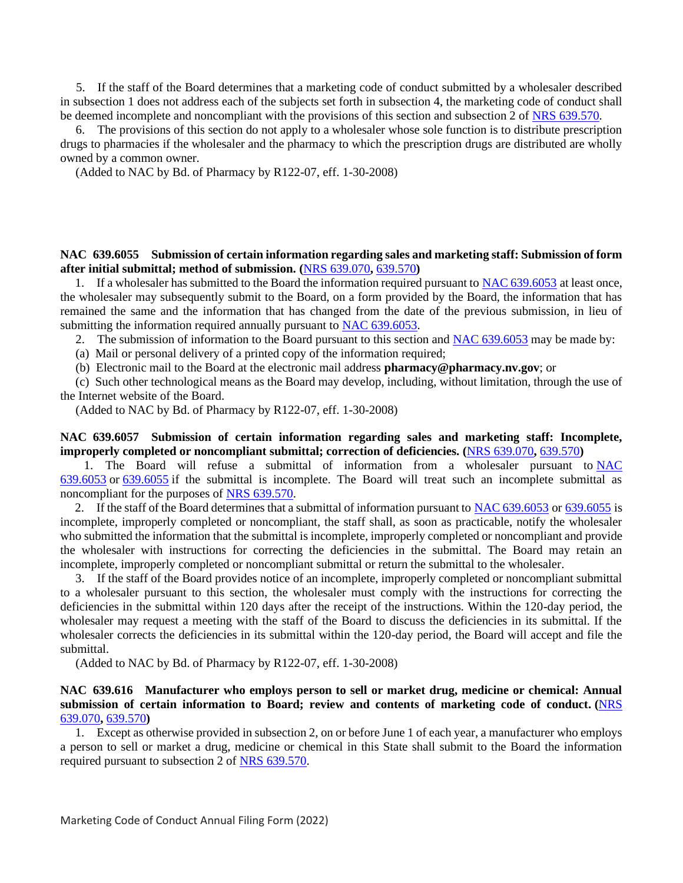5. If the staff of the Board determines that a marketing code of conduct submitted by a wholesaler described in subsection 1 does not address each of the subjects set forth in subsection 4, the marketing code of conduct shall be deemed incomplete and noncompliant with the provisions of this section and subsection 2 of [NRS 639.570.](https://www.leg.state.nv.us/NRS/NRS-639.html#NRS639Sec570)

 6. The provisions of this section do not apply to a wholesaler whose sole function is to distribute prescription drugs to pharmacies if the wholesaler and the pharmacy to which the prescription drugs are distributed are wholly owned by a common owner.

(Added to NAC by Bd. of Pharmacy by R122-07, eff. 1-30-2008)

## **NAC 639.6055 Submission of certain information regarding sales and marketing staff: Submission of form after initial submittal; method of submission. (**[NRS 639.070](https://www.leg.state.nv.us/NRS/NRS-639.html#NRS639Sec070)**,** [639.570](https://www.leg.state.nv.us/NRS/NRS-639.html#NRS639Sec570)**)**

 1. If a wholesaler has submitted to the Board the information required pursuant to [NAC 639.6053](https://www.leg.state.nv.us/NAC/NAC-639.html#NAC639Sec6053) at least once, the wholesaler may subsequently submit to the Board, on a form provided by the Board, the information that has remained the same and the information that has changed from the date of the previous submission, in lieu of submitting the information required annually pursuant to [NAC 639.6053.](https://www.leg.state.nv.us/NAC/NAC-639.html#NAC639Sec6053)

2. The submission of information to the Board pursuant to this section and [NAC 639.6053](https://www.leg.state.nv.us/NAC/NAC-639.html#NAC639Sec6053) may be made by:

(a) Mail or personal delivery of a printed copy of the information required;

(b) Electronic mail to the Board at the electronic mail address **pharmacy@pharmacy.nv.gov**; or

 (c) Such other technological means as the Board may develop, including, without limitation, through the use of the Internet website of the Board.

(Added to NAC by Bd. of Pharmacy by R122-07, eff. 1-30-2008)

## **NAC 639.6057 Submission of certain information regarding sales and marketing staff: Incomplete, improperly completed or noncompliant submittal; correction of deficiencies. (**[NRS 639.070](https://www.leg.state.nv.us/NRS/NRS-639.html#NRS639Sec070)**,** [639.570](https://www.leg.state.nv.us/NRS/NRS-639.html#NRS639Sec570)**)**

1. The Board will refuse a submittal of information from a wholesaler pursuant to NAC [639.6053](https://www.leg.state.nv.us/NAC/NAC-639.html#NAC639Sec6053) or [639.6055](https://www.leg.state.nv.us/NAC/NAC-639.html#NAC639Sec6055) if the submittal is incomplete. The Board will treat such an incomplete submittal as noncompliant for the purposes of [NRS 639.570.](https://www.leg.state.nv.us/NRS/NRS-639.html#NRS639Sec570)

2. If the staff of the Board determines that a submittal of information pursuant to [NAC 639.6053](https://www.leg.state.nv.us/NAC/NAC-639.html#NAC639Sec6053) or [639.6055](https://www.leg.state.nv.us/NAC/NAC-639.html#NAC639Sec6055) is incomplete, improperly completed or noncompliant, the staff shall, as soon as practicable, notify the wholesaler who submitted the information that the submittal is incomplete, improperly completed or noncompliant and provide the wholesaler with instructions for correcting the deficiencies in the submittal. The Board may retain an incomplete, improperly completed or noncompliant submittal or return the submittal to the wholesaler.

 3. If the staff of the Board provides notice of an incomplete, improperly completed or noncompliant submittal to a wholesaler pursuant to this section, the wholesaler must comply with the instructions for correcting the deficiencies in the submittal within 120 days after the receipt of the instructions. Within the 120-day period, the wholesaler may request a meeting with the staff of the Board to discuss the deficiencies in its submittal. If the wholesaler corrects the deficiencies in its submittal within the 120-day period, the Board will accept and file the submittal.

(Added to NAC by Bd. of Pharmacy by R122-07, eff. 1-30-2008)

## **NAC 639.616 Manufacturer who employs person to sell or market drug, medicine or chemical: Annual submission of certain information to Board; review and contents of marketing code of conduct. (**[NRS](https://www.leg.state.nv.us/NRS/NRS-639.html#NRS639Sec070)  [639.070](https://www.leg.state.nv.us/NRS/NRS-639.html#NRS639Sec070)**,** [639.570](https://www.leg.state.nv.us/NRS/NRS-639.html#NRS639Sec570)**)**

 1. Except as otherwise provided in subsection 2, on or before June 1 of each year, a manufacturer who employs a person to sell or market a drug, medicine or chemical in this State shall submit to the Board the information required pursuant to subsection 2 of [NRS 639.570.](https://www.leg.state.nv.us/NRS/NRS-639.html#NRS639Sec570)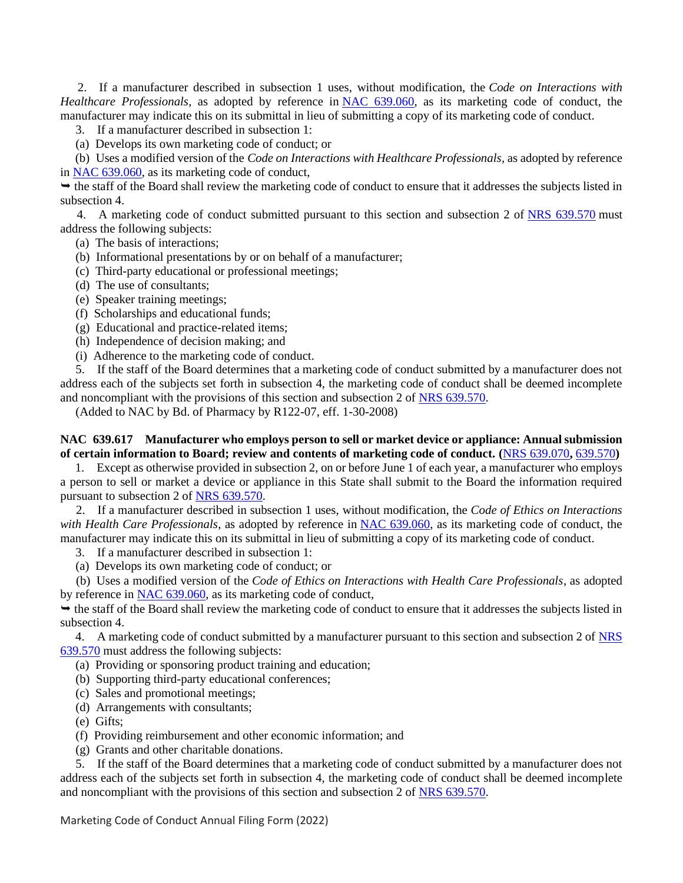2. If a manufacturer described in subsection 1 uses, without modification, the *Code on Interactions with Healthcare Professionals*, as adopted by reference in [NAC 639.060,](https://www.leg.state.nv.us/NAC/NAC-639.html#NAC639Sec060) as its marketing code of conduct, the manufacturer may indicate this on its submittal in lieu of submitting a copy of its marketing code of conduct.

3. If a manufacturer described in subsection 1:

(a) Develops its own marketing code of conduct; or

 (b) Uses a modified version of the *Code on Interactions with Healthcare Professionals*, as adopted by reference in [NAC 639.060,](https://www.leg.state.nv.us/NAC/NAC-639.html#NAC639Sec060) as its marketing code of conduct,

 the staff of the Board shall review the marketing code of conduct to ensure that it addresses the subjects listed in subsection 4.

4. A marketing code of conduct submitted pursuant to this section and subsection 2 of [NRS 639.570](https://www.leg.state.nv.us/NRS/NRS-639.html#NRS639Sec570) must address the following subjects:

(a) The basis of interactions;

- (b) Informational presentations by or on behalf of a manufacturer;
- (c) Third-party educational or professional meetings;
- (d) The use of consultants;
- (e) Speaker training meetings;
- (f) Scholarships and educational funds;
- (g) Educational and practice-related items;
- (h) Independence of decision making; and
- (i) Adherence to the marketing code of conduct.

 5. If the staff of the Board determines that a marketing code of conduct submitted by a manufacturer does not address each of the subjects set forth in subsection 4, the marketing code of conduct shall be deemed incomplete and noncompliant with the provisions of this section and subsection 2 of [NRS 639.570.](https://www.leg.state.nv.us/NRS/NRS-639.html#NRS639Sec570)

(Added to NAC by Bd. of Pharmacy by R122-07, eff. 1-30-2008)

## **NAC 639.617 Manufacturer who employs person to sell or market device or appliance: Annual submission of certain information to Board; review and contents of marketing code of conduct. (**[NRS 639.070](https://www.leg.state.nv.us/NRS/NRS-639.html#NRS639Sec070)**,** [639.570](https://www.leg.state.nv.us/NRS/NRS-639.html#NRS639Sec570)**)**

 1. Except as otherwise provided in subsection 2, on or before June 1 of each year, a manufacturer who employs a person to sell or market a device or appliance in this State shall submit to the Board the information required pursuant to subsection 2 of [NRS 639.570.](https://www.leg.state.nv.us/NRS/NRS-639.html#NRS639Sec570)

 2. If a manufacturer described in subsection 1 uses, without modification, the *Code of Ethics on Interactions*  with Health Care Professionals, as adopted by reference in **NAC 639.060**, as its marketing code of conduct, the manufacturer may indicate this on its submittal in lieu of submitting a copy of its marketing code of conduct.

- 3. If a manufacturer described in subsection 1:
- (a) Develops its own marketing code of conduct; or

 (b) Uses a modified version of the *Code of Ethics on Interactions with Health Care Professionals*, as adopted by reference in [NAC 639.060,](https://www.leg.state.nv.us/NAC/NAC-639.html#NAC639Sec060) as its marketing code of conduct,

 the staff of the Board shall review the marketing code of conduct to ensure that it addresses the subjects listed in subsection 4.

4. A marketing code of conduct submitted by a manufacturer pursuant to this section and subsection 2 of NRS [639.570](https://www.leg.state.nv.us/NRS/NRS-639.html#NRS639Sec570) must address the following subjects:

- (a) Providing or sponsoring product training and education;
- (b) Supporting third-party educational conferences;
- (c) Sales and promotional meetings;
- (d) Arrangements with consultants;
- (e) Gifts;
- (f) Providing reimbursement and other economic information; and
- (g) Grants and other charitable donations.

 5. If the staff of the Board determines that a marketing code of conduct submitted by a manufacturer does not address each of the subjects set forth in subsection 4, the marketing code of conduct shall be deemed incomplete and noncompliant with the provisions of this section and subsection 2 of [NRS 639.570.](https://www.leg.state.nv.us/NRS/NRS-639.html#NRS639Sec570)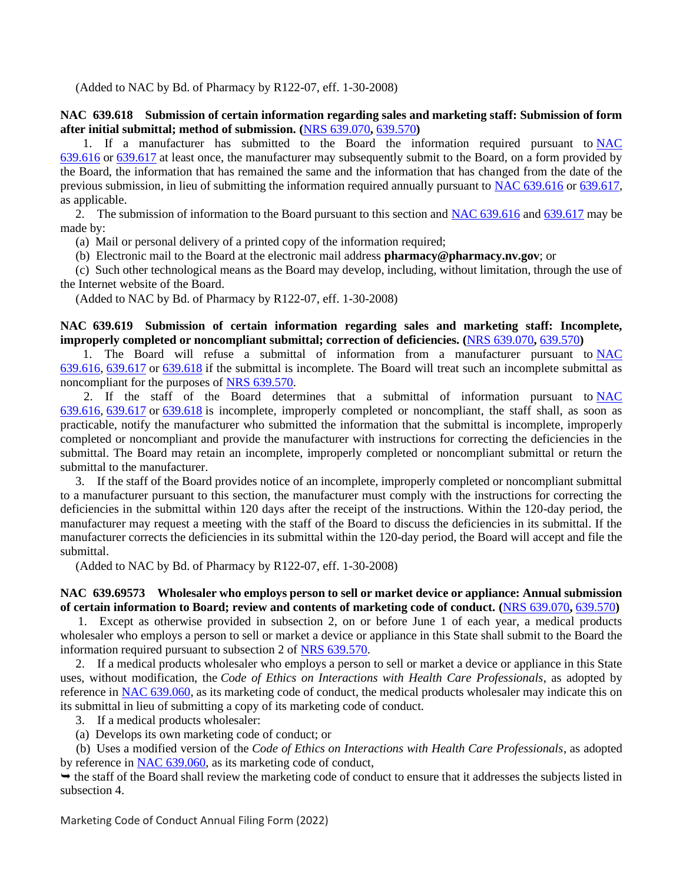(Added to NAC by Bd. of Pharmacy by R122-07, eff. 1-30-2008)

## **NAC 639.618 Submission of certain information regarding sales and marketing staff: Submission of form after initial submittal; method of submission. (**[NRS 639.070](https://www.leg.state.nv.us/NRS/NRS-639.html#NRS639Sec070)**,** [639.570](https://www.leg.state.nv.us/NRS/NRS-639.html#NRS639Sec570)**)**

 1. If a manufacturer has submitted to the Board the information required pursuant to [NAC](https://www.leg.state.nv.us/NAC/NAC-639.html#NAC639Sec616)  [639.616](https://www.leg.state.nv.us/NAC/NAC-639.html#NAC639Sec616) or [639.617](https://www.leg.state.nv.us/NAC/NAC-639.html#NAC639Sec617) at least once, the manufacturer may subsequently submit to the Board, on a form provided by the Board, the information that has remained the same and the information that has changed from the date of the previous submission, in lieu of submitting the information required annually pursuant to [NAC 639.616](https://www.leg.state.nv.us/NAC/NAC-639.html#NAC639Sec616) or [639.617,](https://www.leg.state.nv.us/NAC/NAC-639.html#NAC639Sec617) as applicable.

2. The submission of information to the Board pursuant to this section and [NAC 639.616](https://www.leg.state.nv.us/NAC/NAC-639.html#NAC639Sec616) and [639.617](https://www.leg.state.nv.us/NAC/NAC-639.html#NAC639Sec617) may be made by:

(a) Mail or personal delivery of a printed copy of the information required;

(b) Electronic mail to the Board at the electronic mail address **pharmacy@pharmacy.nv.gov**; or

 (c) Such other technological means as the Board may develop, including, without limitation, through the use of the Internet website of the Board.

(Added to NAC by Bd. of Pharmacy by R122-07, eff. 1-30-2008)

**NAC 639.619 Submission of certain information regarding sales and marketing staff: Incomplete, improperly completed or noncompliant submittal; correction of deficiencies. (**[NRS 639.070](https://www.leg.state.nv.us/NRS/NRS-639.html#NRS639Sec070)**,** [639.570](https://www.leg.state.nv.us/NRS/NRS-639.html#NRS639Sec570)**)**

 1. The Board will refuse a submittal of information from a manufacturer pursuant to [NAC](https://www.leg.state.nv.us/NAC/NAC-639.html#NAC639Sec616)  [639.616,](https://www.leg.state.nv.us/NAC/NAC-639.html#NAC639Sec616) [639.617](https://www.leg.state.nv.us/NAC/NAC-639.html#NAC639Sec617) or [639.618](https://www.leg.state.nv.us/NAC/NAC-639.html#NAC639Sec618) if the submittal is incomplete. The Board will treat such an incomplete submittal as noncompliant for the purposes of [NRS 639.570.](https://www.leg.state.nv.us/NRS/NRS-639.html#NRS639Sec570)

 2. If the staff of the Board determines that a submittal of information pursuant to [NAC](https://www.leg.state.nv.us/NAC/NAC-639.html#NAC639Sec616)  [639.616,](https://www.leg.state.nv.us/NAC/NAC-639.html#NAC639Sec616) [639.617](https://www.leg.state.nv.us/NAC/NAC-639.html#NAC639Sec617) or [639.618](https://www.leg.state.nv.us/NAC/NAC-639.html#NAC639Sec618) is incomplete, improperly completed or noncompliant, the staff shall, as soon as practicable, notify the manufacturer who submitted the information that the submittal is incomplete, improperly completed or noncompliant and provide the manufacturer with instructions for correcting the deficiencies in the submittal. The Board may retain an incomplete, improperly completed or noncompliant submittal or return the submittal to the manufacturer.

 3. If the staff of the Board provides notice of an incomplete, improperly completed or noncompliant submittal to a manufacturer pursuant to this section, the manufacturer must comply with the instructions for correcting the deficiencies in the submittal within 120 days after the receipt of the instructions. Within the 120-day period, the manufacturer may request a meeting with the staff of the Board to discuss the deficiencies in its submittal. If the manufacturer corrects the deficiencies in its submittal within the 120-day period, the Board will accept and file the submittal.

(Added to NAC by Bd. of Pharmacy by R122-07, eff. 1-30-2008)

## **NAC 639.69573 Wholesaler who employs person to sell or market device or appliance: Annual submission of certain information to Board; review and contents of marketing code of conduct. (**[NRS 639.070](https://www.leg.state.nv.us/NRS/NRS-639.html#NRS639Sec070)**,** [639.570](https://www.leg.state.nv.us/NRS/NRS-639.html#NRS639Sec570)**)**

 1. Except as otherwise provided in subsection 2, on or before June 1 of each year, a medical products wholesaler who employs a person to sell or market a device or appliance in this State shall submit to the Board the information required pursuant to subsection 2 of [NRS 639.570.](https://www.leg.state.nv.us/NRS/NRS-639.html#NRS639Sec570)

 2. If a medical products wholesaler who employs a person to sell or market a device or appliance in this State uses, without modification, the *Code of Ethics on Interactions with Health Care Professionals*, as adopted by reference in [NAC 639.060,](https://www.leg.state.nv.us/NAC/NAC-639.html#NAC639Sec060) as its marketing code of conduct, the medical products wholesaler may indicate this on its submittal in lieu of submitting a copy of its marketing code of conduct.

3. If a medical products wholesaler:

(a) Develops its own marketing code of conduct; or

 (b) Uses a modified version of the *Code of Ethics on Interactions with Health Care Professionals*, as adopted by reference in [NAC 639.060,](https://www.leg.state.nv.us/NAC/NAC-639.html#NAC639Sec060) as its marketing code of conduct,

 the staff of the Board shall review the marketing code of conduct to ensure that it addresses the subjects listed in subsection 4.